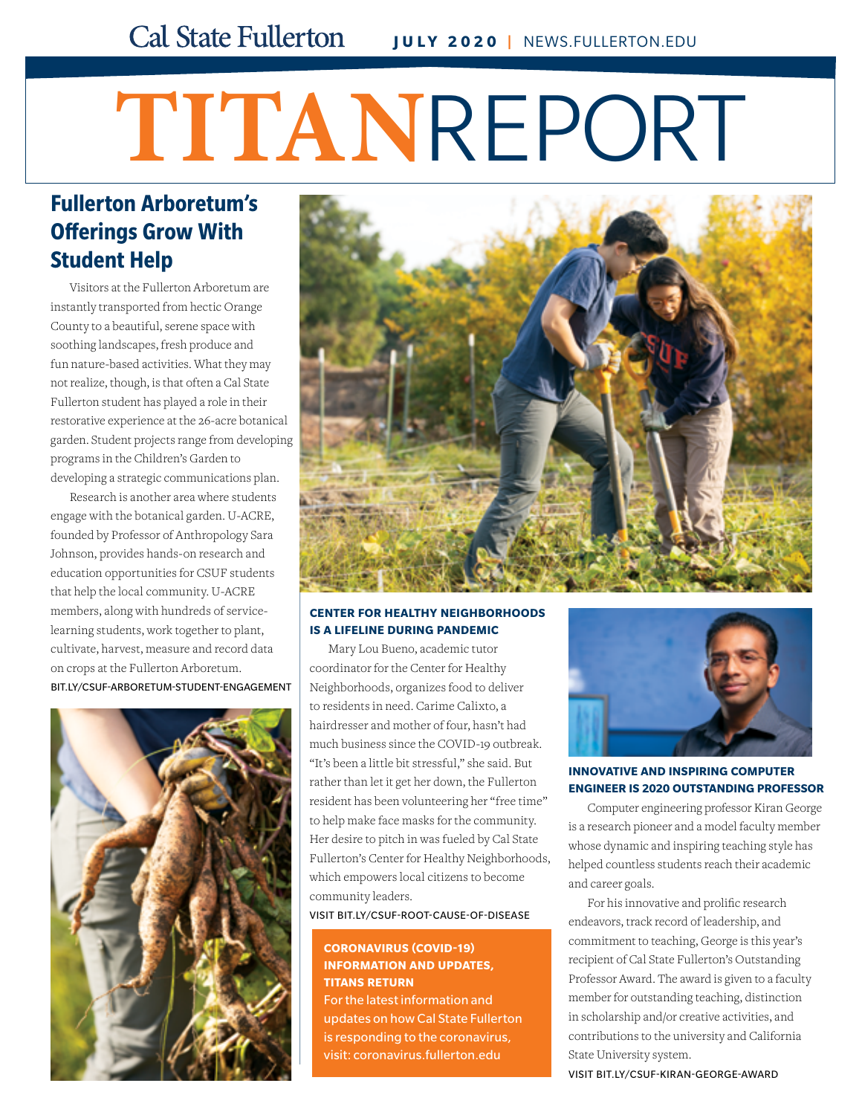# **TITAN**REPORT

# **[Fullerton Arboretum's](http://bit.ly/csuf-arboretum-student-engagement)  Offerings Grow With Student Help**

Visitors at the Fullerton Arboretum are instantly transported from hectic Orange County to a beautiful, serene space with soothing landscapes, fresh produce and fun nature-based activities. What they may not realize, though, is that often a Cal State Fullerton student has played a role in their restorative experience at the 26-acre botanical garden. Student projects range from developing programs in the Children's Garden to developing a strategic communications plan.

Research is another area where students engage with the botanical garden. U-ACRE, founded by Professor of Anthropology Sara Johnson, provides hands-on research and education opportunities for CSUF students that help the local community. U-ACRE members, along with hundreds of servicelearning students, work together to plant, cultivate, harvest, measure and record data on crops at the Fullerton Arboretum. BIT.LY/CSUF-ARBORETUM-STUDENT-ENGAGEMENT





#### **CENTER FOR HEALTHY NEIGHBORHOODS IS A LIFELINE DURING PANDEMIC**

Mary Lou Bueno, academic tutor coordinator for the Center for Healthy Neighborhoods, organizes food to deliver to residents in need. Carime Calixto, a hairdresser and mother of four, hasn't had much business since the COVID-19 outbreak. "It's been a little bit stressful," she said. But rather than let it get her down, the Fullerton resident has been volunteering her "free time" to help make face masks for the community. Her desire to pitch in was fueled by Cal State [Fullerton's Center for Healthy Neighborhoods,](http://bit.ly/csuf-root-cause-of-disease)  which empowers local citizens to become community leaders.

VISIT BIT.LY/CSUF-ROOT-CAUSE-OF-DISEASE

#### **CORONAVIRUS (COVID-19) INFORMATION AND UPDATES, TITANS RETURN**

For the latest information and [updates on how Cal State Fullerton](http://coronavirus.fullerton.edu)  is responding to the coronavirus, visit: coronavirus.fullerton.edu



#### **INNOVATIVE AND INSPIRING COMPUTER [ENGINEER IS 2020 OUTSTANDING PROFESSOR](http://bit.ly/csuf-Kiran-George-award)**

Computer engineering professor Kiran George is a research pioneer and a model faculty member whose dynamic and inspiring teaching style has helped countless students reach their academic and career goals.

For his innovative and prolific research endeavors, track record of leadership, and commitment to teaching, George is this year's recipient of Cal State Fullerton's Outstanding Professor Award. The award is given to a faculty member for outstanding teaching, distinction in scholarship and/or creative activities, and contributions to the university and California State University system.

VISIT BIT.LY/CSUF-KIRAN-GEORGE-AWARD